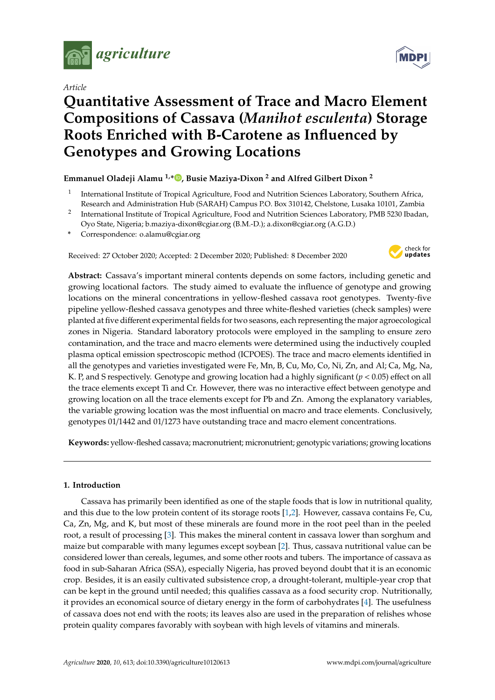

*Article*



# **Quantitative Assessment of Trace and Macro Element Compositions of Cassava (***Manihot esculenta***) Storage Roots Enriched with B-Carotene as Influenced by Genotypes and Growing Locations**

## **Emmanuel Oladeji Alamu 1,\* [,](https://orcid.org/0000-0001-6263-1359) Busie Maziya-Dixon <sup>2</sup> and Alfred Gilbert Dixon <sup>2</sup>**

- 1 International Institute of Tropical Agriculture, Food and Nutrition Sciences Laboratory, Southern Africa, Research and Administration Hub (SARAH) Campus P.O. Box 310142, Chelstone, Lusaka 10101, Zambia
- $^2$  International Institute of Tropical Agriculture, Food and Nutrition Sciences Laboratory, PMB 5230 Ibadan, Oyo State, Nigeria; b.maziya-dixon@cgiar.org (B.M.-D.); a.dixon@cgiar.org (A.G.D.)
- **\*** Correspondence: o.alamu@cgiar.org

Received: 27 October 2020; Accepted: 2 December 2020; Published: 8 December 2020



**Abstract:** Cassava's important mineral contents depends on some factors, including genetic and growing locational factors. The study aimed to evaluate the influence of genotype and growing locations on the mineral concentrations in yellow-fleshed cassava root genotypes. Twenty-five pipeline yellow-fleshed cassava genotypes and three white-fleshed varieties (check samples) were planted at five different experimental fields for two seasons, each representing the major agroecological zones in Nigeria. Standard laboratory protocols were employed in the sampling to ensure zero contamination, and the trace and macro elements were determined using the inductively coupled plasma optical emission spectroscopic method (ICPOES). The trace and macro elements identified in all the genotypes and varieties investigated were Fe, Mn, B, Cu, Mo, Co, Ni, Zn, and Al; Ca, Mg, Na, K. P, and S respectively. Genotype and growing location had a highly significant (*p* < 0.05) effect on all the trace elements except Ti and Cr. However, there was no interactive effect between genotype and growing location on all the trace elements except for Pb and Zn. Among the explanatory variables, the variable growing location was the most influential on macro and trace elements. Conclusively, genotypes 01/1442 and 01/1273 have outstanding trace and macro element concentrations.

**Keywords:** yellow-fleshed cassava; macronutrient; micronutrient; genotypic variations; growing locations

## **1. Introduction**

Cassava has primarily been identified as one of the staple foods that is low in nutritional quality, and this due to the low protein content of its storage roots [\[1](#page-11-0)[,2\]](#page-11-1). However, cassava contains Fe, Cu, Ca, Zn, Mg, and K, but most of these minerals are found more in the root peel than in the peeled root, a result of processing [\[3\]](#page-11-2). This makes the mineral content in cassava lower than sorghum and maize but comparable with many legumes except soybean [\[2\]](#page-11-1). Thus, cassava nutritional value can be considered lower than cereals, legumes, and some other roots and tubers. The importance of cassava as food in sub-Saharan Africa (SSA), especially Nigeria, has proved beyond doubt that it is an economic crop. Besides, it is an easily cultivated subsistence crop, a drought-tolerant, multiple-year crop that can be kept in the ground until needed; this qualifies cassava as a food security crop. Nutritionally, it provides an economical source of dietary energy in the form of carbohydrates [\[4\]](#page-11-3). The usefulness of cassava does not end with the roots; its leaves also are used in the preparation of relishes whose protein quality compares favorably with soybean with high levels of vitamins and minerals.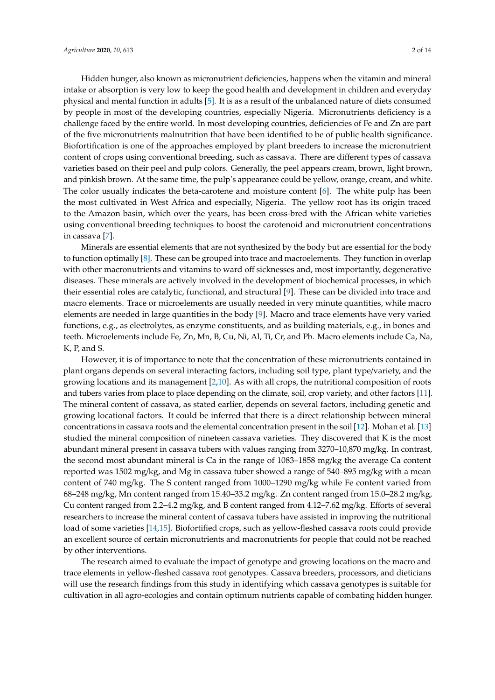Hidden hunger, also known as micronutrient deficiencies, happens when the vitamin and mineral intake or absorption is very low to keep the good health and development in children and everyday physical and mental function in adults [\[5\]](#page-11-4). It is as a result of the unbalanced nature of diets consumed by people in most of the developing countries, especially Nigeria. Micronutrients deficiency is a challenge faced by the entire world. In most developing countries, deficiencies of Fe and Zn are part of the five micronutrients malnutrition that have been identified to be of public health significance. Biofortification is one of the approaches employed by plant breeders to increase the micronutrient content of crops using conventional breeding, such as cassava. There are different types of cassava varieties based on their peel and pulp colors. Generally, the peel appears cream, brown, light brown, and pinkish brown. At the same time, the pulp's appearance could be yellow, orange, cream, and white. The color usually indicates the beta-carotene and moisture content [\[6\]](#page-11-5). The white pulp has been the most cultivated in West Africa and especially, Nigeria. The yellow root has its origin traced to the Amazon basin, which over the years, has been cross-bred with the African white varieties using conventional breeding techniques to boost the carotenoid and micronutrient concentrations in cassava [\[7\]](#page-12-0).

Minerals are essential elements that are not synthesized by the body but are essential for the body to function optimally [\[8\]](#page-12-1). These can be grouped into trace and macroelements. They function in overlap with other macronutrients and vitamins to ward off sicknesses and, most importantly, degenerative diseases. These minerals are actively involved in the development of biochemical processes, in which their essential roles are catalytic, functional, and structural [\[9\]](#page-12-2). These can be divided into trace and macro elements. Trace or microelements are usually needed in very minute quantities, while macro elements are needed in large quantities in the body [\[9\]](#page-12-2). Macro and trace elements have very varied functions, e.g., as electrolytes, as enzyme constituents, and as building materials, e.g., in bones and teeth. Microelements include Fe, Zn, Mn, B, Cu, Ni, Al, Ti, Cr, and Pb. Macro elements include Ca, Na, K, P, and S.

However, it is of importance to note that the concentration of these micronutrients contained in plant organs depends on several interacting factors, including soil type, plant type/variety, and the growing locations and its management [\[2](#page-11-1)[,10\]](#page-12-3). As with all crops, the nutritional composition of roots and tubers varies from place to place depending on the climate, soil, crop variety, and other factors [\[11\]](#page-12-4). The mineral content of cassava, as stated earlier, depends on several factors, including genetic and growing locational factors. It could be inferred that there is a direct relationship between mineral concentrations in cassava roots and the elemental concentration present in the soil [\[12\]](#page-12-5). Mohan et al. [\[13\]](#page-12-6) studied the mineral composition of nineteen cassava varieties. They discovered that K is the most abundant mineral present in cassava tubers with values ranging from 3270–10,870 mg/kg. In contrast, the second most abundant mineral is Ca in the range of 1083–1858 mg/kg the average Ca content reported was 1502 mg/kg, and Mg in cassava tuber showed a range of 540–895 mg/kg with a mean content of 740 mg/kg. The S content ranged from 1000–1290 mg/kg while Fe content varied from 68–248 mg/kg, Mn content ranged from 15.40–33.2 mg/kg. Zn content ranged from 15.0–28.2 mg/kg, Cu content ranged from 2.2–4.2 mg/kg, and B content ranged from 4.12–7.62 mg/kg. Efforts of several researchers to increase the mineral content of cassava tubers have assisted in improving the nutritional load of some varieties [\[14,](#page-12-7)[15\]](#page-12-8). Biofortified crops, such as yellow-fleshed cassava roots could provide an excellent source of certain micronutrients and macronutrients for people that could not be reached by other interventions.

The research aimed to evaluate the impact of genotype and growing locations on the macro and trace elements in yellow-fleshed cassava root genotypes. Cassava breeders, processors, and dieticians will use the research findings from this study in identifying which cassava genotypes is suitable for cultivation in all agro-ecologies and contain optimum nutrients capable of combating hidden hunger.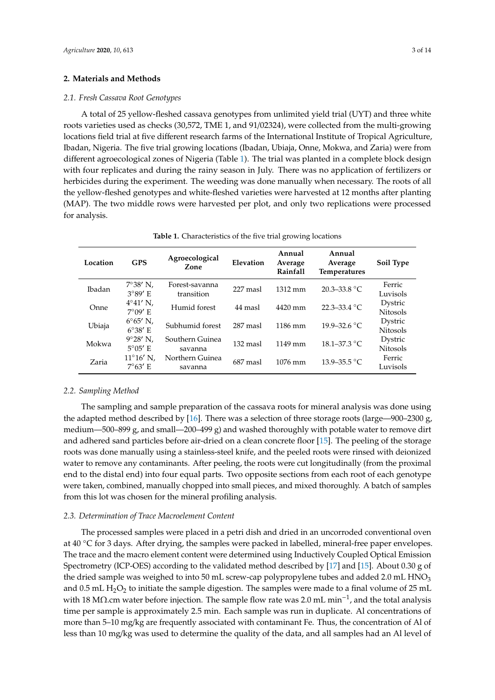#### **2. Materials and Methods**

#### *2.1. Fresh Cassava Root Genotypes*

A total of 25 yellow-fleshed cassava genotypes from unlimited yield trial (UYT) and three white roots varieties used as checks (30,572, TME 1, and 91/02324), were collected from the multi-growing locations field trial at five different research farms of the International Institute of Tropical Agriculture, Ibadan, Nigeria. The five trial growing locations (Ibadan, Ubiaja, Onne, Mokwa, and Zaria) were from different agroecological zones of Nigeria (Table [1\)](#page-2-0). The trial was planted in a complete block design with four replicates and during the rainy season in July. There was no application of fertilizers or herbicides during the experiment. The weeding was done manually when necessary. The roots of all the yellow-fleshed genotypes and white-fleshed varieties were harvested at 12 months after planting (MAP). The two middle rows were harvested per plot, and only two replications were processed for analysis.

| <b>Table 1.</b> Characteristics of the five trial growing locations |
|---------------------------------------------------------------------|
|---------------------------------------------------------------------|

<span id="page-2-0"></span>

| Location      | <b>GPS</b>                             | Agroecological<br>Zone       | Elevation | Annual<br>Average<br>Rainfall | Annual<br>Average<br>Temperatures | Soil Type                  |
|---------------|----------------------------------------|------------------------------|-----------|-------------------------------|-----------------------------------|----------------------------|
| <b>Ibadan</b> | $7^{\circ}38'$ N.<br>$3°89'$ E         | Forest-savanna<br>transition | 227 masl  | $1312 \text{ mm}$             | $20.3 - 33.8$ °C                  | Ferric<br>Luvisols         |
| Onne          | $4^{\circ}41'$ N,<br>$7^{\circ}09'$ E  | Humid forest                 | 44 masl   | $4420$ mm                     | $22.3 - 33.4$ °C                  | Dystric<br><b>Nitosols</b> |
| Ubiaja        | $6^{\circ}65'$ N,<br>$6^{\circ}38'$ E  | Subhumid forest              | 287 masl  | 1186 mm                       | $19.9 - 32.6 °C$                  | Dystric<br><b>Nitosols</b> |
| Mokwa         | $9^{\circ}28'$ N,<br>$5^{\circ}05'$ E  | Southern Guinea<br>savanna   | 132 masl  | $1149$ mm                     | $18.1 - 37.3$ °C                  | Dystric<br><b>Nitosols</b> |
| Zaria         | $11^{\circ}16'$ N,<br>$7^{\circ}63'$ E | Northern Guinea<br>savanna   | 687 masl  | $1076$ mm                     | 13.9–35.5 °C                      | Ferric<br>Luvisols         |

#### *2.2. Sampling Method*

The sampling and sample preparation of the cassava roots for mineral analysis was done using the adapted method described by [\[16\]](#page-12-9). There was a selection of three storage roots (large—900–2300 g, medium—500–899 g, and small—200–499 g) and washed thoroughly with potable water to remove dirt and adhered sand particles before air-dried on a clean concrete floor [\[15\]](#page-12-8). The peeling of the storage roots was done manually using a stainless-steel knife, and the peeled roots were rinsed with deionized water to remove any contaminants. After peeling, the roots were cut longitudinally (from the proximal end to the distal end) into four equal parts. Two opposite sections from each root of each genotype were taken, combined, manually chopped into small pieces, and mixed thoroughly. A batch of samples from this lot was chosen for the mineral profiling analysis.

#### *2.3. Determination of Trace Macroelement Content*

The processed samples were placed in a petri dish and dried in an uncorroded conventional oven at 40 ◦C for 3 days. After drying, the samples were packed in labelled, mineral-free paper envelopes. The trace and the macro element content were determined using Inductively Coupled Optical Emission Spectrometry (ICP-OES) according to the validated method described by [\[17\]](#page-12-10) and [\[15\]](#page-12-8). About 0.30 g of the dried sample was weighed to into 50 mL screw-cap polypropylene tubes and added 2.0 mL  $HNO<sub>3</sub>$ and 0.5 mL  $H_2O_2$  to initiate the sample digestion. The samples were made to a final volume of 25 mL with 18 MΩ.cm water before injection. The sample flow rate was 2.0 mL min<sup>-1</sup>, and the total analysis time per sample is approximately 2.5 min. Each sample was run in duplicate. Al concentrations of more than 5–10 mg/kg are frequently associated with contaminant Fe. Thus, the concentration of Al of less than 10 mg/kg was used to determine the quality of the data, and all samples had an Al level of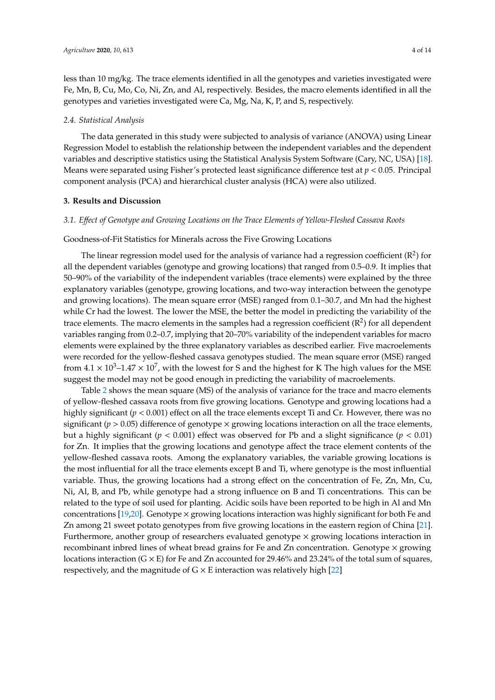less than 10 mg/kg. The trace elements identified in all the genotypes and varieties investigated were Fe, Mn, B, Cu, Mo, Co, Ni, Zn, and Al, respectively. Besides, the macro elements identified in all the genotypes and varieties investigated were Ca, Mg, Na, K, P, and S, respectively.

#### *2.4. Statistical Analysis*

The data generated in this study were subjected to analysis of variance (ANOVA) using Linear Regression Model to establish the relationship between the independent variables and the dependent variables and descriptive statistics using the Statistical Analysis System Software (Cary, NC, USA) [\[18\]](#page-12-11). Means were separated using Fisher's protected least significance difference test at *p* < 0.05. Principal component analysis (PCA) and hierarchical cluster analysis (HCA) were also utilized.

#### **3. Results and Discussion**

#### *3.1. E*ff*ect of Genotype and Growing Locations on the Trace Elements of Yellow-Fleshed Cassava Roots*

#### Goodness-of-Fit Statistics for Minerals across the Five Growing Locations

The linear regression model used for the analysis of variance had a regression coefficient ( $\mathbb{R}^2$ ) for all the dependent variables (genotype and growing locations) that ranged from 0.5–0.9. It implies that 50–90% of the variability of the independent variables (trace elements) were explained by the three explanatory variables (genotype, growing locations, and two-way interaction between the genotype and growing locations). The mean square error (MSE) ranged from 0.1–30.7, and Mn had the highest while Cr had the lowest. The lower the MSE, the better the model in predicting the variability of the trace elements. The macro elements in the samples had a regression coefficient  $(R^2)$  for all dependent variables ranging from 0.2–0.7, implying that 20–70% variability of the independent variables for macro elements were explained by the three explanatory variables as described earlier. Five macroelements were recorded for the yellow-fleshed cassava genotypes studied. The mean square error (MSE) ranged from  $4.1 \times 10^3$ –1.47  $\times 10^7$ , with the lowest for S and the highest for K The high values for the MSE suggest the model may not be good enough in predicting the variability of macroelements.

Table [2](#page-4-0) shows the mean square (MS) of the analysis of variance for the trace and macro elements of yellow-fleshed cassava roots from five growing locations. Genotype and growing locations had a highly significant (*p* < 0.001) effect on all the trace elements except Ti and Cr. However, there was no significant ( $p > 0.05$ ) difference of genotype  $\times$  growing locations interaction on all the trace elements, but a highly significant ( $p < 0.001$ ) effect was observed for Pb and a slight significance ( $p < 0.01$ ) for Zn. It implies that the growing locations and genotype affect the trace element contents of the yellow-fleshed cassava roots. Among the explanatory variables, the variable growing locations is the most influential for all the trace elements except B and Ti, where genotype is the most influential variable. Thus, the growing locations had a strong effect on the concentration of Fe, Zn, Mn, Cu, Ni, Al, B, and Pb, while genotype had a strong influence on B and Ti concentrations. This can be related to the type of soil used for planting. Acidic soils have been reported to be high in Al and Mn concentrations [\[19](#page-12-12)[,20\]](#page-12-13). Genotype  $\times$  growing locations interaction was highly significant for both Fe and Zn among 21 sweet potato genotypes from five growing locations in the eastern region of China [\[21\]](#page-12-14). Furthermore, another group of researchers evaluated genotype  $\times$  growing locations interaction in recombinant inbred lines of wheat bread grains for Fe and Zn concentration. Genotype  $\times$  growing locations interaction ( $G \times E$ ) for Fe and Zn accounted for 29.46% and 23.24% of the total sum of squares, respectively, and the magnitude of  $G \times E$  interaction was relatively high [\[22\]](#page-12-15)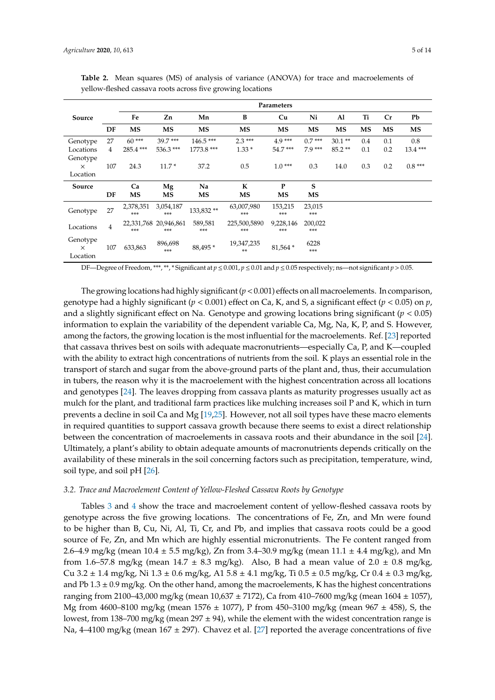|                                  |     | Parameters       |                              |                |                       |                    |                |           |     |           |           |  |
|----------------------------------|-----|------------------|------------------------------|----------------|-----------------------|--------------------|----------------|-----------|-----|-----------|-----------|--|
| Source                           |     | Fe               | Zn                           | Mn             | B                     | Cu                 | Ni             | Al        | Ti  | Cr        | Pb        |  |
|                                  | DF  | MS               | <b>MS</b>                    | MS             | MS                    | <b>MS</b>          | <b>MS</b>      | <b>MS</b> | MS  | <b>MS</b> | <b>MS</b> |  |
| Genotype                         | 27  | $60***$          | $39.7***$                    | $146.5***$     | $2.3***$              | $4.9***$           | $0.7***$       | $30.1**$  | 0.4 | 0.1       | 0.8       |  |
| Locations                        | 4   | 285.4***         | 536.3***                     | 1773.8 ***     | $1.33*$               | $54.7***$          | $7.9***$       | $85.2**$  | 0.1 | 0.2       | 13.4***   |  |
| Genotype                         |     |                  |                              |                |                       |                    |                |           |     |           |           |  |
| $\times$                         | 107 | 24.3             | $11.7*$                      | 37.2           | 0.5                   | $1.0***$           | 0.3            | 14.0      | 0.3 | 0.2       | $0.8***$  |  |
| Location                         |     |                  |                              |                |                       |                    |                |           |     |           |           |  |
| Source                           |     | Ca               | Mg                           | Na             | К                     | P                  | S              |           |     |           |           |  |
|                                  | DF  | MS               | MS                           | MS             | <b>MS</b>             | <b>MS</b>          | <b>MS</b>      |           |     |           |           |  |
| Genotype                         | 27  | 2,378,351<br>*** | 3,054,187<br>***             | 133,832**      | 63,007,980<br>$***$   | 153,215<br>$***$   | 23,015<br>***  |           |     |           |           |  |
| Locations                        | 4   | ***              | 22,331,768 20,946,861<br>*** | 589,581<br>*** | 225,500,5890<br>$***$ | 9,228,146<br>$***$ | 200,022<br>*** |           |     |           |           |  |
| Genotype<br>$\times$<br>Location | 107 | 633,863          | 896,698<br>***               | 88,495*        | 19,347,235<br>**      | 81,564 *           | 6228<br>***    |           |     |           |           |  |

<span id="page-4-0"></span>**Table 2.** Mean squares (MS) of analysis of variance (ANOVA) for trace and macroelements of yellow-fleshed cassava roots across five growing locations

DF—Degree of Freedom, \*\*\*, \*\*, \* Significant at *p* ≤ 0.001, *p* ≤ 0.01 and *p* ≤ 0.05 respectively; ns—not significant *p* > 0.05.

The growing locations had highly significant  $(p < 0.001)$  effects on all macroelements. In comparison, genotype had a highly significant ( $p < 0.001$ ) effect on Ca, K, and S, a significant effect ( $p < 0.05$ ) on  $p$ , and a slightly significant effect on Na. Genotype and growing locations bring significant (*p* < 0.05) information to explain the variability of the dependent variable Ca, Mg, Na, K, P, and S. However, among the factors, the growing location is the most influential for the macroelements. Ref. [\[23\]](#page-12-16) reported that cassava thrives best on soils with adequate macronutrients—especially Ca, P, and K—coupled with the ability to extract high concentrations of nutrients from the soil. K plays an essential role in the transport of starch and sugar from the above-ground parts of the plant and, thus, their accumulation in tubers, the reason why it is the macroelement with the highest concentration across all locations and genotypes [\[24\]](#page-12-17). The leaves dropping from cassava plants as maturity progresses usually act as mulch for the plant, and traditional farm practices like mulching increases soil P and K, which in turn prevents a decline in soil Ca and Mg [\[19](#page-12-12)[,25\]](#page-12-18). However, not all soil types have these macro elements in required quantities to support cassava growth because there seems to exist a direct relationship between the concentration of macroelements in cassava roots and their abundance in the soil [\[24\]](#page-12-17). Ultimately, a plant's ability to obtain adequate amounts of macronutrients depends critically on the availability of these minerals in the soil concerning factors such as precipitation, temperature, wind, soil type, and soil pH [\[26\]](#page-12-19).

#### *3.2. Trace and Macroelement Content of Yellow-Fleshed Cassava Roots by Genotype*

Tables [3](#page-5-0) and [4](#page-6-0) show the trace and macroelement content of yellow-fleshed cassava roots by genotype across the five growing locations. The concentrations of Fe, Zn, and Mn were found to be higher than B, Cu, Ni, Al, Ti, Cr, and Pb, and implies that cassava roots could be a good source of Fe, Zn, and Mn which are highly essential micronutrients. The Fe content ranged from 2.6–4.9 mg/kg (mean  $10.4 \pm 5.5$  mg/kg), Zn from 3.4–30.9 mg/kg (mean  $11.1 \pm 4.4$  mg/kg), and Mn from 1.6–57.8 mg/kg (mean 14.7  $\pm$  8.3 mg/kg). Also, B had a mean value of 2.0  $\pm$  0.8 mg/kg, Cu 3.2  $\pm$  1.4 mg/kg, Ni 1.3  $\pm$  0.6 mg/kg, A1 5.8  $\pm$  4.1 mg/kg, Ti 0.5  $\pm$  0.5 mg/kg, Cr 0.4  $\pm$  0.3 mg/kg, and Pb  $1.3 \pm 0.9$  mg/kg. On the other hand, among the macroelements, K has the highest concentrations ranging from 2100–43,000 mg/kg (mean 10,637 ± 7172), Ca from 410–7600 mg/kg (mean 1604 ± 1057), Mg from 4600–8100 mg/kg (mean 1576  $\pm$  1077), P from 450–3100 mg/kg (mean 967  $\pm$  458), S, the lowest, from 138–700 mg/kg (mean 297 ± 94), while the element with the widest concentration range is Na,  $4-4100$  mg/kg (mean 167  $\pm$  297). Chavez et al. [\[27\]](#page-12-20) reported the average concentrations of five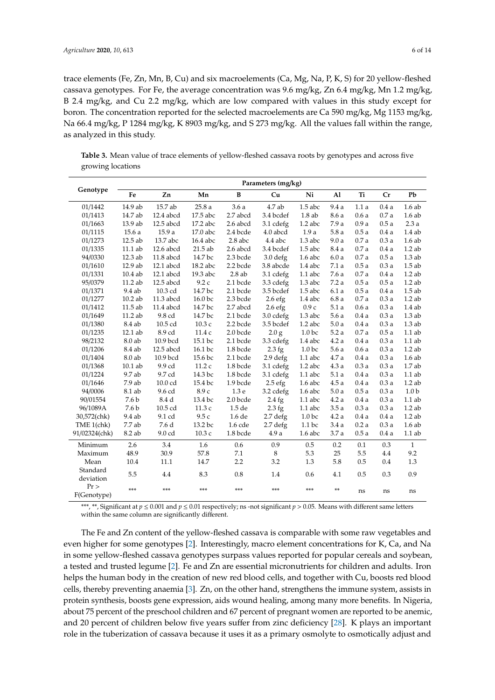trace elements (Fe, Zn, Mn, B, Cu) and six macroelements (Ca, Mg, Na, P, K, S) for 20 yellow-fleshed cassava genotypes. For Fe, the average concentration was 9.6 mg/kg, Zn 6.4 mg/kg, Mn 1.2 mg/kg, B 2.4 mg/kg, and Cu 2.2 mg/kg, which are low compared with values in this study except for boron. The concentration reported for the selected macroelements are Ca 590 mg/kg, Mg 1153 mg/kg, Na 66.4 mg/kg, P 1284 mg/kg, K 8903 mg/kg, and S 273 mg/kg. All the values fall within the range, as analyzed in this study.

<span id="page-5-0"></span>**Table 3.** Mean value of trace elements of yellow-fleshed cassava roots by genotypes and across five growing locations

|                       | Parameters (mg/kg) |             |           |                      |                     |                   |               |      |      |                    |
|-----------------------|--------------------|-------------|-----------|----------------------|---------------------|-------------------|---------------|------|------|--------------------|
| Genotype              | Fe                 | Zn          | Mn        | B                    | Cu                  | Ni                | Al            | Ti   | Cr   | Pb                 |
| 01/1442               | 14.9 ab            | 15.7 ab     | 25.8a     | 3.6a                 | $4.7$ ab            | $1.5$ abc         | 9.4a          | 1.1a | 0.4a | 1.6ab              |
| 01/1413               | 14.7 ab            | 12.4 abcd   | 17.5 abc  | 2.7 abcd             | 3.4 bcdef           | 1.8ab             | 8.6a          | 0.6a | 0.7a | 1.6ab              |
| 01/1663               | 13.9 ab            | 12.5 abcd   | 17.2 abc  | 2.6 abcd             | 3.1 cdefg           | $1.2$ abc         | 7.9 a         | 0.9a | 0.5a | 2.3a               |
| 01/1115               | 15.6a              | 15.9a       | 17.0 abc  | 2.4 bcde             | 4.0 abcd            | 1.9a              | 5.8a          | 0.5a | 0.4a | 1.4ab              |
| 01/1273               | 12.5 ab            | 13.7 abc    | 16.4 abc  | $2.8$ abc            | 4.4 abc             | $1.3\:\rm{abc}$   | 9.0a          | 0.7a | 0.3a | 1.6ab              |
| 01/1335               | 11.1 ab            | 12.6 abcd   | $21.5$ ab | 2.6 abcd             | 3.4 bcdef           | $1.5$ abc         | 8.4 a         | 0.7a | 0.4a | $1.2$ ab           |
| 94/0330               | 12.3 ab            | 11.8 abcd   | 14.7 bc   | 2.3 bcde             | $3.0$ defg          | $1.6$ abc         | 6.0a          | 0.7a | 0.5a | $1.3$ ab           |
| 01/1610               | 12.9 ab            | $12.1$ abcd | 18.2 abc  | 2.2 bcde             | 3.8 abcde           | $1.4$ abc         | 7.1a          | 0.5a | 0.3a | $1.5$ ab           |
| 01/1331               | 10.4 ab            | $12.1$ abcd | 19.3 abc  | 2.8ab                | 3.1 cdefg           | 1.1 abc           | 7.6a          | 0.7a | 0.4a | $1.2$ ab           |
| 95/0379               | 11.2 ab            | 12.5 abcd   | 9.2c      | 2.1 bcde             | 3.3 cdefg           | $1.3$ abc         | 7.2a          | 0.5a | 0.5a | $1.2$ ab           |
| 01/1371               | 9.4 ab             | 10.3 cd     | 14.7 bc   | 2.1 bcde             | 3.5 bcdef           | $1.5$ abc         | 6.1a          | 0.5a | 0.4a | $1.5$ ab           |
| 01/1277               | $10.2$ ab          | 11.3 abcd   | 16.0 bc   | 2.3 bcde             | 2.6 <sub>efg</sub>  | 1.4 abc           | 6.8a          | 0.7a | 0.3a | $1.2$ ab           |
| 01/1412               | 11.5 ab            | 11.4 abcd   | 14.7 bc   | 2.7 abcd             | 2.6 <sub>efg</sub>  | 0.9c              | 5.1a          | 0.6a | 0.3a | 1.4ab              |
| 01/1649               | 11.2 ab            | 9.8 cd      | 14.7 bc   | 2.1 bcde             | 3.0 cdefg           | $1.3$ abc         | 5.6a          | 0.4a | 0.3a | $1.3$ ab           |
| 01/1380               | 8.4 ab             | 10.5 cd     | 10.3 с    | 2.2 bcde             | 3.5 bcdef           | $1.2$ abc         | 5.0a          | 0.4a | 0.3a | $1.3$ ab           |
| 01/1235               | 12.1 ab            | 8.9 cd      | 11.4c     | $2.0\,\mathrm{bcde}$ | 2.0 g               | 1.0 <sub>bc</sub> | 5.2a          | 0.7a | 0.5a | $1.1$ ab           |
| 98/2132               | 8.0 ab             | 10.9 bcd    | 15.1 bc   | 2.1 bcde             | 3.3 cdefg           | 1.4 abc           | 4.2a          | 0.4a | 0.3a | $1.1$ ab           |
| 01/1206               | 8.4 ab             | 12.5 abcd   | 16.1 bc   | 1.8 bcde             | $2.3$ fg            | 1.0 <sub>bc</sub> | 5.6a          | 0.6a | 0.3a | $1.2$ ab           |
| 01/1404               | 8.0 ab             | 10.9 bcd    | 15.6 bc   | 2.1 bcde             | 2.9 defg            | $1.1$ abc         | 4.7a          | 0.4a | 0.3a | $1.6\:\mathrm{ab}$ |
| 01/1368               | $10.1$ ab          | 9.9 cd      | 11.2c     | 1.8 bcde             | 3.1 cdefg           | $1.2$ abc         | $4.3\ \rm{a}$ | 0.3a | 0.3a | 1.7ab              |
| 01/1224               | 9.7 ab             | 9.7 cd      | 14.3 bc   | 1.8 bcde             | 3.1 cdefg           | $1.1$ abc         | 5.1a          | 0.4a | 0.3a | $1.1$ ab           |
| 01/1646               | 7.9 ab             | 10.0 cd     | 15.4 bc   | 1.9 bcde             | $2.5$ efg           | $1.6$ abc         | 4.5a          | 0.4a | 0.3a | $1.2$ ab           |
| 94/0006               | 8.1 ab             | 9.6 cd      | 8.9 с     | 1.3 <sub>e</sub>     | 3.2 cdefg           | $1.6$ abc         | 5.0a          | 0.5a | 0.3a | 1.0 <sub>b</sub>   |
| 90/01554              | 7.6 b              | 8.4 d       | 13.4 bc   | 2.0 bcde             | $2.4$ fg            | 1.1 abc           | 4.2a          | 0.4a | 0.3a | $1.1$ ab           |
| 96/1089A              | 7.6 b              | 10.5 cd     | 11.3 c    | 1.5 de               | $2.3$ fg            | $1.1$ abc         | 3.5a          | 0.3a | 0.3a | $1.2$ ab           |
| 30,572(chk)           | 9.4 ab             | 9.1 cd      | 9.5c      | 1.6 de               | $2.7$ defg          | 1.0 <sub>bc</sub> | 4.2a          | 0.4a | 0.4a | $1.2$ ab           |
| TME 1(chk)            | 7.7 ab             | 7.6 d       | 13.2 bc   | 1.6 cde              | 2.7 <sub>defg</sub> | 1.1 <sub>bc</sub> | 3.4a          | 0.2a | 0.3a | 1.6ab              |
| 91/02324(chk)         | 8.2 ab             | 9.0 cd      | 10.3c     | 1.8 bcde             | 4.9a                | $1.6$ abc         | 3.7a          | 0.5a | 0.4a | $1.1$ ab           |
| Minimum               | 2.6                | 3.4         | 1.6       | 0.6                  | 0.9                 | 0.5               | 0.2           | 0.1  | 0.3  | $\mathbf{1}$       |
| Maximum               | 48.9               | 30.9        | 57.8      | 7.1                  | 8                   | 5.3               | 25            | 5.5  | 4.4  | 9.2                |
| Mean                  | 10.4               | 11.1        | 14.7      | 2.2                  | 3.2                 | 1.3               | 5.8           | 0.5  | 0.4  | 1.3                |
| Standard<br>deviation | 5.5                | 4.4         | 8.3       | 0.8                  | 1.4                 | 0.6               | 4.1           | 0.5  | 0.3  | 0.9                |
| Pr<br>F(Genotype)     | ***                | ***         | ***       | ***                  | ***                 | ***               | $**$          | ns   | ns   | ns                 |

\*\*\*, \*\*, Significant at *p* ≤ 0.001 and *p* ≤ 0.01 respectively; ns -not significant *p* > 0.05. Means with different same letters within the same column are significantly different.

The Fe and Zn content of the yellow-fleshed cassava is comparable with some raw vegetables and even higher for some genotypes [\[2\]](#page-11-1). Interestingly, macro element concentrations for K, Ca, and Na in some yellow-fleshed cassava genotypes surpass values reported for popular cereals and soybean, a tested and trusted legume [\[2\]](#page-11-1). Fe and Zn are essential micronutrients for children and adults. Iron helps the human body in the creation of new red blood cells, and together with Cu, boosts red blood cells, thereby preventing anaemia [\[3\]](#page-11-2). Zn, on the other hand, strengthens the immune system, assists in protein synthesis, boosts gene expression, aids wound healing, among many more benefits. In Nigeria, about 75 percent of the preschool children and 67 percent of pregnant women are reported to be anemic, and 20 percent of children below five years suffer from zinc deficiency [\[28\]](#page-12-21). K plays an important role in the tuberization of cassava because it uses it as a primary osmolyte to osmotically adjust and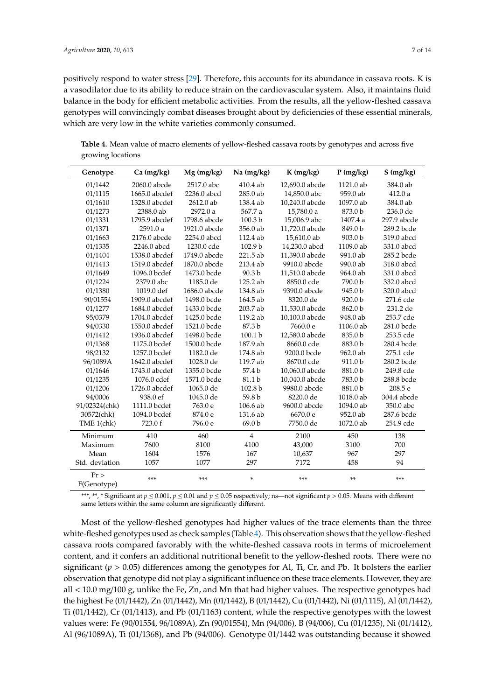positively respond to water stress [\[29\]](#page-13-0). Therefore, this accounts for its abundance in cassava roots. K is a vasodilator due to its ability to reduce strain on the cardiovascular system. Also, it maintains fluid balance in the body for efficient metabolic activities. From the results, all the yellow-fleshed cassava genotypes will convincingly combat diseases brought about by deficiencies of these essential minerals, which are very low in the white varieties commonly consumed.

<span id="page-6-0"></span>**Table 4.** Mean value of macro elements of yellow-fleshed cassava roots by genotypes and across five growing locations

| Genotype          | Ca (mg/kg)    | $Mg$ (mg/kg) | Na (mg/kg)        | $K$ (mg/kg)    | P(mg/kg)           | S(mg/kg)    |
|-------------------|---------------|--------------|-------------------|----------------|--------------------|-------------|
| 01/1442           | 2060.0 abcde  | 2517.0 abc   | $410.4$ ab        | 12,690.0 abcde | 1121.0 ab          | 384.0 ab    |
| 01/1115           | 1665.0 abcdef | 2236.0 abcd  | 285.0 ab          | 14,850.0 abc   | 959.0 ab           | 412.0a      |
| 01/1610           | 1328.0 abcdef | 2612.0 ab    | 138.4 ab          | 10,240.0 abcde | 1097.0 ab          | 384.0 ab    |
| 01/1273           | 2388.0 ab     | 2972.0 a     | 567.7 a           | 15,780.0 a     | 873.0 b            | 236.0 de    |
| 01/1331           | 1795.9 abcdef | 1798.6 abcde | 100.3 b           | 15,006.9 abc   | 1407.4 a           | 297.9 abcde |
| 01/1371           | 2591.0 a      | 1921.0 abcde | 356.0 ab          | 11,720.0 abcde | 849.0 b            | 289.2 bcde  |
| 01/1663           | 2176.0 abcde  | 2254.0 abcd  | 112.4 ab          | 15,610.0 ab    | 903.0 <sub>b</sub> | 319.0 abcd  |
| 01/1335           | 2246.0 abcd   | 1230.0 cde   | 102.9 b           | 14,230.0 abcd  | 1109.0 ab          | 331.0 abcd  |
| 01/1404           | 1538.0 abcdef | 1749.0 abcde | 221.5 ab          | 11,390.0 abcde | 991.0 ab           | 285.2 bcde  |
| 01/1413           | 1519.0 abcdef | 1870.0 abcde | 213.4 ab          | 9910.0 abcde   | 990.0 ab           | 318.0 abcd  |
| 01/1649           | 1096.0 bcdef  | 1473.0 bcde  | 90.3 <sub>b</sub> | 11,510.0 abcde | 964.0 ab           | 331.0 abcd  |
| 01/1224           | 2379.0 abc    | 1185.0 de    | 125.2 ab          | 8850.0 cde     | 790.0 b            | 332.0 abcd  |
| 01/1380           | 1019.0 def    | 1686.0 abcde | 134.8 ab          | 9390.0 abcde   | 945.0b             | 320.0 abcd  |
| 90/01554          | 1909.0 abcdef | 1498.0 bcde  | 164.5 ab          | 8320.0 de      | 920.0 b            | 271.6 cde   |
| 01/1277           | 1684.0 abcdef | 1433.0 bcde  | 203.7 ab          | 11,530.0 abcde | 862.0 b            | 231.2 de    |
| 95/0379           | 1704.0 abcdef | 1425.0 bcde  | 119.2 ab          | 10,100.0 abcde | 948.0 ab           | 253.7 cde   |
| 94/0330           | 1550.0 abcdef | 1521.0 bcde  | 87.3 b            | 7660.0 e       | 1106.0 ab          | 281.0 bcde  |
| 01/1412           | 1936.0 abcdef | 1498.0 bcde  | 100.1 b           | 12,580.0 abcde | 835.0b             | 253.5 cde   |
| 01/1368           | 1175.0 bcdef  | 1500.0 bcde  | 187.9 ab          | 8660.0 cde     | 883.0b             | 280.4 bcde  |
| 98/2132           | 1257.0 bcdef  | 1182.0 de    | 174.8 ab          | 9200.0 bcde    | 962.0 ab           | 275.1 cde   |
| 96/1089A          | 1642.0 abcdef | 1028.0 de    | 119.7 ab          | 8670.0 cde     | 911.0b             | 280.2 bcde  |
| 01/1646           | 1743.0 abcdef | 1355.0 bcde  | 57.4 b            | 10,060.0 abcde | 881.0b             | 249.8 cde   |
| 01/1235           | 1076.0 cdef   | 1571.0 bcde  | 81.1 b            | 10,040.0 abcde | 783.0 b            | 288.8 bcde  |
| 01/1206           | 1726.0 abcdef | 1065.0 de    | 102.8 b           | 9980.0 abcde   | 881.0b             | 208.5 e     |
| 94/0006           | 938.0 ef      | 1045.0 de    | 59.8 b            | 8220.0 de      | 1018.0 ab          | 304.4 abcde |
| 91/02324(chk)     | 1111.0 bcdef  | 763.0 e      | 106.6 ab          | 9600.0 abcde   | 1094.0 ab          | 350.0 abc   |
| 30572(chk)        | 1094.0 bcdef  | 874.0 e      | 131.6 ab          | 6670.0 e       | 952.0 ab           | 287.6 bcde  |
| TME 1(chk)        | 723.0 f       | 796.0 e      | 69.0 b            | 7750.0 de      | 1072.0 ab          | 254.9 cde   |
| Minimum           | 410           | 460          | $\overline{4}$    | 2100           | 450                | 138         |
| Maximum           | 7600          | 8100         | 4100              | 43,000         | 3100               | 700         |
| Mean              | 1604          | 1576         | 167               | 10,637         | 967                | 297         |
| Std. deviation    | 1057          | 1077         | 297               | 7172           | 458                | 94          |
| Pr<br>F(Genotype) | ***           | ***          | ×.                | ***            | **                 | ***         |

\*\*\*, \*\*, \* Significant at  $p \le 0.001$ ,  $p \le 0.01$  and  $p \le 0.05$  respectively; ns—not significant  $p > 0.05$ . Means with different same letters within the same column are significantly different.

Most of the yellow-fleshed genotypes had higher values of the trace elements than the three white-fleshed genotypes used as check samples (Table [4\)](#page-6-0). This observation shows that the yellow-fleshed cassava roots compared favorably with the white-fleshed cassava roots in terms of microelement content, and it confers an additional nutritional benefit to the yellow-fleshed roots. There were no significant ( $p > 0.05$ ) differences among the genotypes for Al, Ti, Cr, and Pb. It bolsters the earlier observation that genotype did not play a significant influence on these trace elements. However, they are all < 10.0 mg/100 g, unlike the Fe, Zn, and Mn that had higher values. The respective genotypes had the highest Fe (01/1442), Zn (01/1442), Mn (01/1442), B (01/1442), Cu (01/1442), Ni (01/1115), Al (01/1442), Ti (01/1442), Cr (01/1413), and Pb (01/1163) content, while the respective genotypes with the lowest values were: Fe (90/01554, 96/1089A), Zn (90/01554), Mn (94/006), B (94/006), Cu (01/1235), Ni (01/1412), Al (96/1089A), Ti (01/1368), and Pb (94/006). Genotype 01/1442 was outstanding because it showed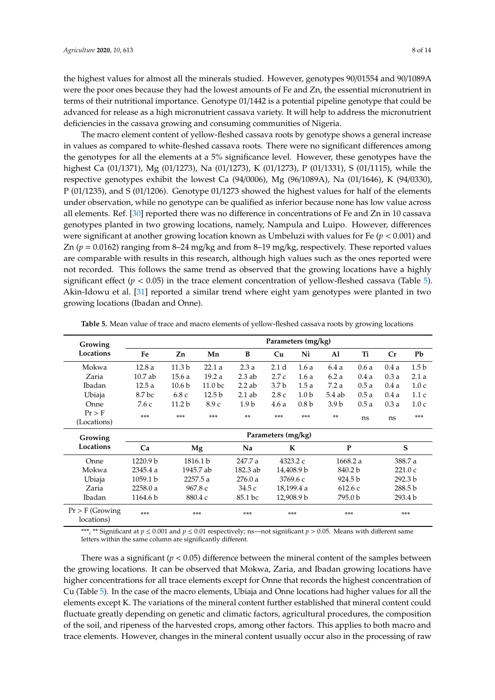the highest values for almost all the minerals studied. However, genotypes 90/01554 and 90/1089A were the poor ones because they had the lowest amounts of Fe and Zn, the essential micronutrient in terms of their nutritional importance. Genotype 01/1442 is a potential pipeline genotype that could be advanced for release as a high micronutrient cassava variety. It will help to address the micronutrient deficiencies in the cassava growing and consuming communities of Nigeria.

The macro element content of yellow-fleshed cassava roots by genotype shows a general increase in values as compared to white-fleshed cassava roots. There were no significant differences among the genotypes for all the elements at a 5% significance level. However, these genotypes have the highest Ca (01/1371), Mg (01/1273), Na (01/1273), K (01/1273), P (01/1331), S (01/1115), while the respective genotypes exhibit the lowest Ca (94/0006), Mg (96/1089A), Na (01/1646), K (94/0330), P (01/1235), and S (01/1206). Genotype 01/1273 showed the highest values for half of the elements under observation, while no genotype can be qualified as inferior because none has low value across all elements. Ref. [\[30\]](#page-13-1) reported there was no difference in concentrations of Fe and Zn in 10 cassava genotypes planted in two growing locations, namely, Nampula and Luipo. However, differences were significant at another growing location known as Umbeluzi with values for Fe (*p* < 0.001) and Zn (*p* = 0.0162) ranging from 8–24 mg/kg and from 8–19 mg/kg, respectively. These reported values are comparable with results in this research, although high values such as the ones reported were not recorded. This follows the same trend as observed that the growing locations have a highly significant effect  $(p < 0.05)$  $(p < 0.05)$  in the trace element concentration of yellow-fleshed cassava (Table 5). Akin-Idowu et al. [\[31\]](#page-13-2) reported a similar trend where eight yam genotypes were planted in two growing locations (Ibadan and Onne).

| Growing                         | Parameters (mg/kg) |                   |                    |                  |                  |                  |          |         |         |                  |  |  |
|---------------------------------|--------------------|-------------------|--------------------|------------------|------------------|------------------|----------|---------|---------|------------------|--|--|
| Locations                       | Fe                 | Zn                | Mn                 | B                | Cu               | Ni               | Al       | Ti      | Cr      | Pb               |  |  |
| Mokwa                           | 12.8a              | 11.3 <sub>b</sub> | 22.1a              | 2.3a             | 2.1 <sub>d</sub> | 1.6a             | 6.4 a    | 0.6a    | 0.4a    | 1.5 <sub>b</sub> |  |  |
| Zaria                           | $10.7$ ab          | 15.6a             | 19.2a              | $2.3$ ab         | 2.7c             | 1.6a             | 6.2a     | 0.4a    | 0.3a    | 2.1a             |  |  |
| Ibadan                          | 12.5a              | 10.6 <sub>b</sub> | 11.0 <sub>bc</sub> | $2.2$ ab         | 3.7 <sub>b</sub> | 1.5a             | 7.2a     | 0.5a    | 0.4a    | 1.0c             |  |  |
| Ubiaja                          | 8.7 bc             | 6.8c              | 12.5 <sub>b</sub>  | $2.1$ ab         | 2.8c             | 1.0 <sub>b</sub> | $5.4$ ab | 0.5a    | 0.4a    | 1.1c             |  |  |
| Onne                            | 7.6 c              | 11.2 b            | 8.9c               | 1.9 <sub>b</sub> | 4.6a             | 0.8 <sub>b</sub> | 3.9 b    | 0.5a    | 0.3a    | 1.0c             |  |  |
| $Pr$ > F                        | $***$              | ***               | ***                | $**$             | ***              | $***$            | **       | ns      | ns      | $***$            |  |  |
| (Locations)                     |                    |                   |                    |                  |                  |                  |          |         |         |                  |  |  |
| Growing                         | Parameters (mg/kg) |                   |                    |                  |                  |                  |          |         |         |                  |  |  |
| Locations                       | Ca                 |                   | Mg                 | Na               |                  | K                | P        |         |         | S                |  |  |
| Onne                            | 1220.9 b           |                   | 1816.1 b           | 247.7 a          |                  | 4323.2 c         | 1668.2 a |         | 388.7 a |                  |  |  |
| Mokwa                           | 2345.4a            |                   | 1945.7 ab          | 182.3 ab         |                  | 14,408.9 b       | 840.2 b  |         |         | 221.0c           |  |  |
| Ubiaja                          | 1059.1 b           |                   | 2257.5 a           | 276.0a           |                  | 3769.6 c         | 924.5 b  |         |         | 292.3 b          |  |  |
| Zaria                           | 2258.0 a           |                   | 967.8 c            | 34.5 с           |                  | 18,199.4 a       | 612.6c   |         |         | 288.5 b          |  |  |
| Ibadan                          | 1164.6 b           |                   | 880.4 c            | 85.1 bc          |                  | 12,908.9 b       |          | 795.0 b | 293.4 b |                  |  |  |
| $Pr$ > F (Growing<br>locations) | $***$              |                   | ***                | ***              |                  | $***$            |          | $***$   |         | $***$            |  |  |

<span id="page-7-0"></span>**Table 5.** Mean value of trace and macro elements of yellow-fleshed cassava roots by growing locations

\*\*\*, \*\* Significant at  $p \le 0.001$  and  $p \le 0.01$  respectively; ns—not significant  $p > 0.05$ . Means with different same letters within the same column are significantly different.

There was a significant  $(p < 0.05)$  difference between the mineral content of the samples between the growing locations. It can be observed that Mokwa, Zaria, and Ibadan growing locations have higher concentrations for all trace elements except for Onne that records the highest concentration of Cu (Table [5\)](#page-7-0). In the case of the macro elements, Ubiaja and Onne locations had higher values for all the elements except K. The variations of the mineral content further established that mineral content could fluctuate greatly depending on genetic and climatic factors, agricultural procedures, the composition of the soil, and ripeness of the harvested crops, among other factors. This applies to both macro and trace elements. However, changes in the mineral content usually occur also in the processing of raw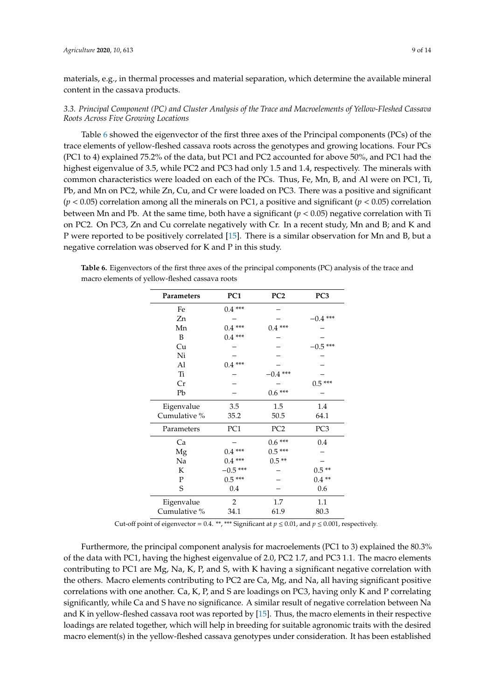materials, e.g., in thermal processes and material separation, which determine the available mineral content in the cassava products.

## *3.3. Principal Component (PC) and Cluster Analysis of the Trace and Macroelements of Yellow-Fleshed Cassava Roots Across Five Growing Locations*

Table [6](#page-8-0) showed the eigenvector of the first three axes of the Principal components (PCs) of the trace elements of yellow-fleshed cassava roots across the genotypes and growing locations. Four PCs (PC1 to 4) explained 75.2% of the data, but PC1 and PC2 accounted for above 50%, and PC1 had the highest eigenvalue of 3.5, while PC2 and PC3 had only 1.5 and 1.4, respectively. The minerals with common characteristics were loaded on each of the PCs. Thus, Fe, Mn, B, and Al were on PC1, Ti, Pb, and Mn on PC2, while Zn, Cu, and Cr were loaded on PC3. There was a positive and significant (*p* < 0.05) correlation among all the minerals on PC1, a positive and significant (*p* < 0.05) correlation between Mn and Pb. At the same time, both have a significant ( $p < 0.05$ ) negative correlation with Ti on PC2. On PC3, Zn and Cu correlate negatively with Cr. In a recent study, Mn and B; and K and P were reported to be positively correlated [\[15\]](#page-12-8). There is a similar observation for Mn and B, but a negative correlation was observed for K and P in this study.

<span id="page-8-0"></span>**Table 6.** Eigenvectors of the first three axes of the principal components (PC) analysis of the trace and macro elements of yellow-fleshed cassava roots

| Parameters   | PC1            | PC <sub>2</sub> | PC <sub>3</sub> |
|--------------|----------------|-----------------|-----------------|
| Fe           | $0.4***$       |                 |                 |
| Zn           |                |                 | $-0.4$ ***      |
| Mn           | $0.4***$       | $0.4***$        |                 |
| B            | $0.4***$       |                 |                 |
| Cu           |                |                 | $-0.5$ ***      |
| Ni           |                |                 |                 |
| Al           | $0.4***$       |                 |                 |
| Ti           |                | $-0.4$ ***      |                 |
| Cr           |                |                 | $0.5***$        |
| Pb           |                | $0.6***$        |                 |
| Eigenvalue   | 3.5            | 1.5             | 1.4             |
| Cumulative % | 35.2           | 50.5            | 64.1            |
| Parameters   | PC1            | PC <sub>2</sub> | PC3             |
| Ca           |                | $0.6***$        | 0.4             |
| Mg           | $0.4***$       | $0.5***$        |                 |
| Na           | $0.4***$       | $0.5**$         |                 |
| K            | $-0.5$ ***     |                 | $0.5**$         |
| $\mathbf P$  | $0.5***$       |                 | $0.4**$         |
| S            | 0.4            |                 | 0.6             |
| Eigenvalue   | $\overline{2}$ | 1.7             | 1.1             |
| Cumulative % | 34.1           | 61.9            | 80.3            |

Cut-off point of eigenvector = 0.4. \*\*, \*\*\* Significant at  $p \le 0.01$ , and  $p \le 0.001$ , respectively.

Furthermore, the principal component analysis for macroelements (PC1 to 3) explained the 80.3% of the data with PC1, having the highest eigenvalue of 2.0, PC2 1.7, and PC3 1.1. The macro elements contributing to PC1 are Mg, Na, K, P, and S, with K having a significant negative correlation with the others. Macro elements contributing to PC2 are Ca, Mg, and Na, all having significant positive correlations with one another. Ca, K, P, and S are loadings on PC3, having only K and P correlating significantly, while Ca and S have no significance. A similar result of negative correlation between Na and K in yellow-fleshed cassava root was reported by [\[15\]](#page-12-8). Thus, the macro elements in their respective loadings are related together, which will help in breeding for suitable agronomic traits with the desired macro element(s) in the yellow-fleshed cassava genotypes under consideration. It has been established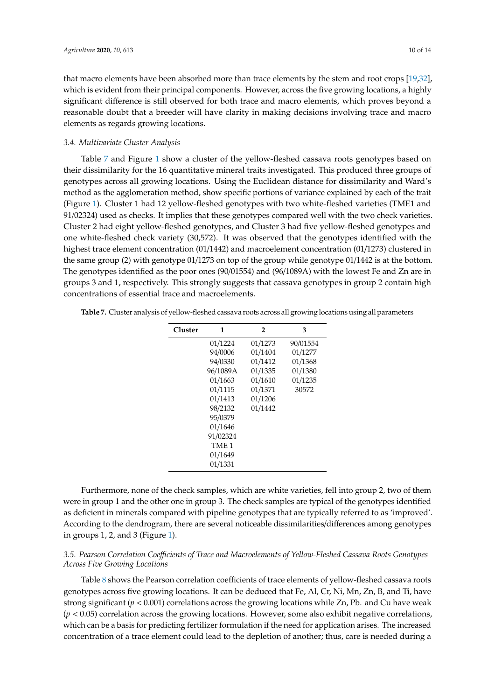that macro elements have been absorbed more than trace elements by the stem and root crops [\[19](#page-12-12)[,32\]](#page-13-3), which is evident from their principal components. However, across the five growing locations, a highly significant difference is still observed for both trace and macro elements, which proves beyond a reasonable doubt that a breeder will have clarity in making decisions involving trace and macro elements as regards growing locations.

#### *3.4. Multivariate Cluster Analysis*

Table [7](#page-9-0) and Figure [1](#page-10-0) show a cluster of the yellow-fleshed cassava roots genotypes based on their dissimilarity for the 16 quantitative mineral traits investigated. This produced three groups of genotypes across all growing locations. Using the Euclidean distance for dissimilarity and Ward's method as the agglomeration method, show specific portions of variance explained by each of the trait (Figure [1\)](#page-10-0). Cluster 1 had 12 yellow-fleshed genotypes with two white-fleshed varieties (TME1 and 91/02324) used as checks. It implies that these genotypes compared well with the two check varieties. Cluster 2 had eight yellow-fleshed genotypes, and Cluster 3 had five yellow-fleshed genotypes and one white-fleshed check variety (30,572). It was observed that the genotypes identified with the highest trace element concentration (01/1442) and macroelement concentration (01/1273) clustered in the same group (2) with genotype 01/1273 on top of the group while genotype 01/1442 is at the bottom. The genotypes identified as the poor ones (90/01554) and (96/1089A) with the lowest Fe and Zn are in groups 3 and 1, respectively. This strongly suggests that cassava genotypes in group 2 contain high concentrations of essential trace and macroelements.

| Cluster | 1        | $\overline{2}$ | 3        |
|---------|----------|----------------|----------|
|         | 01/1224  | 01/1273        | 90/01554 |
|         | 94/0006  | 01/1404        | 01/1277  |
|         | 94/0330  | 01/1412        | 01/1368  |
|         | 96/1089A | 01/1335        | 01/1380  |
|         | 01/1663  | 01/1610        | 01/1235  |
|         | 01/1115  | 01/1371        | 30572    |
|         | 01/1413  | 01/1206        |          |
|         | 98/2132  | 01/1442        |          |
|         | 95/0379  |                |          |
|         | 01/1646  |                |          |
|         | 91/02324 |                |          |
|         | TME 1    |                |          |
|         | 01/1649  |                |          |
|         | 01/1331  |                |          |

<span id="page-9-0"></span>**Table 7.** Cluster analysis of yellow-fleshed cassava roots across all growing locations using all parameters

Furthermore, none of the check samples, which are white varieties, fell into group 2, two of them were in group 1 and the other one in group 3. The check samples are typical of the genotypes identified as deficient in minerals compared with pipeline genotypes that are typically referred to as 'improved'. According to the dendrogram, there are several noticeable dissimilarities/differences among genotypes in groups 1, 2, and 3 (Figure [1\)](#page-10-0).

## *3.5. Pearson Correlation Coe*ffi*cients of Trace and Macroelements of Yellow-Fleshed Cassava Roots Genotypes Across Five Growing Locations*

Table [8](#page-10-1) shows the Pearson correlation coefficients of trace elements of yellow-fleshed cassava roots genotypes across five growing locations. It can be deduced that Fe, Al, Cr, Ni, Mn, Zn, B, and Ti, have strong significant ( $p < 0.001$ ) correlations across the growing locations while Zn, Pb. and Cu have weak  $(p < 0.05)$  correlation across the growing locations. However, some also exhibit negative correlations, which can be a basis for predicting fertilizer formulation if the need for application arises. The increased concentration of a trace element could lead to the depletion of another; thus, care is needed during a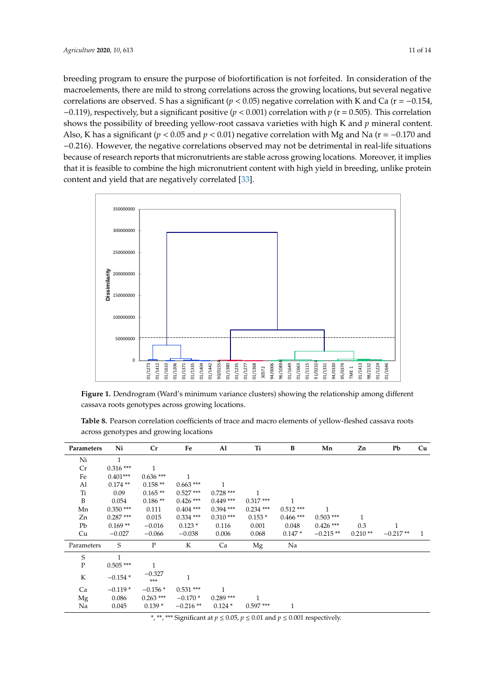breeding program to ensure the purpose of biofortification is not forfeited. In consideration of the macroelements, there are mild to strong correlations across the growing locations, but several negative correlations are observed. S has a significant ( $p < 0.05$ ) negative correlation with K and Ca ( $r = -0.154$ ,  $-0.119$ ), respectively, but a significant positive ( $p < 0.001$ ) correlation with  $p$  ( $r = 0.505$ ). This correlation shows the possibility of breeding yellow-root cassava varieties with high K and  $p$  mineral content. Also, K has a significant ( $p < 0.05$  and  $p < 0.01$ ) negative correlation with Mg and Na ( $r = -0.170$  and -0.216). However, the negative correlations observed may not be detrimental in real-life situations because of research reports that micronutrients are stable across growing locations. Moreover, it implies that it is feasible to combine the high micronutrient content with high yield in breeding, unlike protein content and yield that are negatively correlated [\[33\]](#page-13-4).  $\mathcal{P}$  0.000  $\mathcal{P}$  10.000  $\mathcal{P}$  10.000  $\mathcal{P}$  $\frac{1}{2}$  $\frac{1}{1000}$ 

<span id="page-10-0"></span>

**Figure 1.** Dendrogram (Ward's minimum variance clusters) showing the relationship among different **Figure 1.** Dendrogram (Ward's minimum variance clusters) showing the relationship among different cassava roots genotypes across growing locations. cassava roots genotypes across growing locations.

<span id="page-10-1"></span>

| <b>Table 8.</b> Pearson correlation coefficients of trace and macro elements of yellow-fleshed cassava roots |  |
|--------------------------------------------------------------------------------------------------------------|--|
| across genotypes and growing locations                                                                       |  |

|                                                                                                                                                       | U            | 01/1610<br>01/1273<br>01/1412 | 01/1335<br>01/1404<br>01/1206<br>01/1371 | 90/01554<br>01/1442<br>01/1380<br>01/1235 | 01/1368<br>94/0006<br>01/1277<br>30572 | 96/1089A<br>01/1115<br>01/1649<br>01/1663 | 91/02324<br>95/0379<br>01/1331<br>94/0330                                                             | 01/1413<br>01/1224<br>98/2132<br>TME <sub>1</sub> | 01/1646    |    |
|-------------------------------------------------------------------------------------------------------------------------------------------------------|--------------|-------------------------------|------------------------------------------|-------------------------------------------|----------------------------------------|-------------------------------------------|-------------------------------------------------------------------------------------------------------|---------------------------------------------------|------------|----|
| Figure 1. Dendrogram (Ward's minimum variance clusters) showing the relationship among different<br>cassava roots genotypes across growing locations. |              |                               |                                          |                                           |                                        |                                           |                                                                                                       |                                                   |            |    |
|                                                                                                                                                       |              |                               |                                          |                                           |                                        |                                           | Table 8. Pearson correlation coefficients of trace and macro elements of yellow-fleshed cassava roots |                                                   |            |    |
|                                                                                                                                                       |              |                               | across genotypes and growing locations   |                                           |                                        |                                           |                                                                                                       |                                                   |            |    |
| Parameters                                                                                                                                            | Ni           | Cr                            | Fe                                       | Al                                        | Ti                                     | B                                         | Mn                                                                                                    | Zn                                                | Pb         | Cu |
| Ni                                                                                                                                                    | 1            |                               |                                          |                                           |                                        |                                           |                                                                                                       |                                                   |            |    |
| Cr                                                                                                                                                    | $0.316***$   | $\mathbf{1}$                  |                                          |                                           |                                        |                                           |                                                                                                       |                                                   |            |    |
| Fe                                                                                                                                                    | $0.401***$   | $0.636***$                    | 1                                        |                                           |                                        |                                           |                                                                                                       |                                                   |            |    |
| Al                                                                                                                                                    | $0.174**$    | $0.158**$                     | $0.663$ ***                              | $\mathbf{1}$                              |                                        |                                           |                                                                                                       |                                                   |            |    |
| Ti                                                                                                                                                    | 0.09         | $0.165**$                     | $0.527***$                               | $0.728$ ***                               | 1                                      |                                           |                                                                                                       |                                                   |            |    |
| B                                                                                                                                                     | 0.054        | $0.186**$                     | $0.426$ ***                              | $0.449***$                                | $0.317***$                             | $\mathbf{1}$                              |                                                                                                       |                                                   |            |    |
| Mn                                                                                                                                                    | $0.350***$   | 0.111                         | $0.404$ ***                              | $0.394$ ***                               | $0.234$ ***                            | $0.512***$                                | 1                                                                                                     |                                                   |            |    |
| Zn                                                                                                                                                    | $0.287***$   | 0.015                         | $0.334***$                               | $0.310***$                                | $0.153*$                               | $0.466$ ***                               | $0.503$ ***                                                                                           | 1                                                 |            |    |
| Pb                                                                                                                                                    | $0.169**$    | $-0.016$                      | $0.123*$                                 | 0.116                                     | 0.001                                  | 0.048                                     | $0.426$ ***                                                                                           | 0.3                                               | 1          |    |
| Cu                                                                                                                                                    | $-0.027$     | $-0.066$                      | $-0.038$                                 | 0.006                                     | 0.068                                  | $0.147*$                                  | $-0.215**$                                                                                            | $0.210**$                                         | $-0.217**$ | 1  |
| Parameters                                                                                                                                            | S            | $\mathbf{P}$                  | K                                        | Ca                                        | Mg                                     | Na                                        |                                                                                                       |                                                   |            |    |
| S                                                                                                                                                     | $\mathbf{1}$ |                               |                                          |                                           |                                        |                                           |                                                                                                       |                                                   |            |    |
| $\mathbf{P}$                                                                                                                                          | $0.505***$   | $\mathbf{1}$                  |                                          |                                           |                                        |                                           |                                                                                                       |                                                   |            |    |
| K                                                                                                                                                     | $-0.154*$    | $-0.327$<br>***               | $\mathbf{1}$                             |                                           |                                        |                                           |                                                                                                       |                                                   |            |    |
| Ca                                                                                                                                                    | $-0.119*$    | $-0.156*$                     | $0.531***$                               | $\mathbf{1}$                              |                                        |                                           |                                                                                                       |                                                   |            |    |
| Mg                                                                                                                                                    | 0.086        | $0.263$ ***                   | $-0.170*$                                | $0.289***$                                | $\mathbf{1}$                           |                                           |                                                                                                       |                                                   |            |    |
| Na                                                                                                                                                    | 0.045        | $0.139*$                      | $-0.216**$                               | $0.124*$                                  | $0.597***$                             | $\mathbf{1}$                              |                                                                                                       |                                                   |            |    |

\*, \*\*, \*\*\* Significant at *p* ≤ 0.05, *p* ≤ 0.01 and *p* ≤ 0.001 respectively.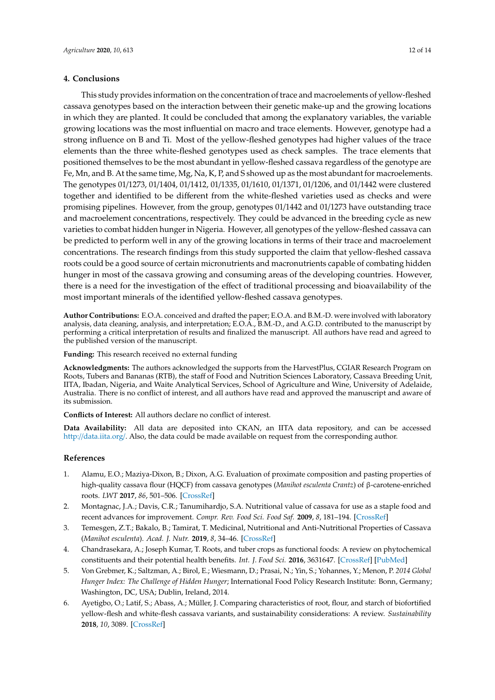#### **4. Conclusions**

This study provides information on the concentration of trace and macroelements of yellow-fleshed cassava genotypes based on the interaction between their genetic make-up and the growing locations in which they are planted. It could be concluded that among the explanatory variables, the variable growing locations was the most influential on macro and trace elements. However, genotype had a strong influence on B and Ti. Most of the yellow-fleshed genotypes had higher values of the trace elements than the three white-fleshed genotypes used as check samples. The trace elements that positioned themselves to be the most abundant in yellow-fleshed cassava regardless of the genotype are Fe, Mn, and B. At the same time, Mg, Na, K, P, and S showed up as the most abundant for macroelements. The genotypes 01/1273, 01/1404, 01/1412, 01/1335, 01/1610, 01/1371, 01/1206, and 01/1442 were clustered together and identified to be different from the white-fleshed varieties used as checks and were promising pipelines. However, from the group, genotypes 01/1442 and 01/1273 have outstanding trace and macroelement concentrations, respectively. They could be advanced in the breeding cycle as new varieties to combat hidden hunger in Nigeria. However, all genotypes of the yellow-fleshed cassava can be predicted to perform well in any of the growing locations in terms of their trace and macroelement concentrations. The research findings from this study supported the claim that yellow-fleshed cassava roots could be a good source of certain micronutrients and macronutrients capable of combating hidden hunger in most of the cassava growing and consuming areas of the developing countries. However, there is a need for the investigation of the effect of traditional processing and bioavailability of the most important minerals of the identified yellow-fleshed cassava genotypes.

**Author Contributions:** E.O.A. conceived and drafted the paper; E.O.A. and B.M.-D. were involved with laboratory analysis, data cleaning, analysis, and interpretation; E.O.A., B.M.-D., and A.G.D. contributed to the manuscript by performing a critical interpretation of results and finalized the manuscript. All authors have read and agreed to the published version of the manuscript.

**Funding:** This research received no external funding

**Acknowledgments:** The authors acknowledged the supports from the HarvestPlus, CGIAR Research Program on Roots, Tubers and Bananas (RTB), the staff of Food and Nutrition Sciences Laboratory, Cassava Breeding Unit, IITA, Ibadan, Nigeria, and Waite Analytical Services, School of Agriculture and Wine, University of Adelaide, Australia. There is no conflict of interest, and all authors have read and approved the manuscript and aware of its submission.

**Conflicts of Interest:** All authors declare no conflict of interest.

**Data Availability:** All data are deposited into CKAN, an IITA data repository, and can be accessed http://[data.iita.org](http://data.iita.org/)/. Also, the data could be made available on request from the corresponding author.

#### **References**

- <span id="page-11-0"></span>1. Alamu, E.O.; Maziya-Dixon, B.; Dixon, A.G. Evaluation of proximate composition and pasting properties of high-quality cassava flour (HQCF) from cassava genotypes (*Manihot esculenta Crantz*) of β-carotene-enriched roots. *LWT* **2017**, *86*, 501–506. [\[CrossRef\]](http://dx.doi.org/10.1016/j.lwt.2017.08.040)
- <span id="page-11-1"></span>2. Montagnac, J.A.; Davis, C.R.; Tanumihardjo, S.A. Nutritional value of cassava for use as a staple food and recent advances for improvement. *Compr. Rev. Food Sci. Food Saf.* **2009**, *8*, 181–194. [\[CrossRef\]](http://dx.doi.org/10.1111/j.1541-4337.2009.00077.x)
- <span id="page-11-2"></span>3. Temesgen, Z.T.; Bakalo, B.; Tamirat, T. Medicinal, Nutritional and Anti-Nutritional Properties of Cassava (*Manihot esculenta*). *Acad. J. Nutr.* **2019**, *8*, 34–46. [\[CrossRef\]](http://dx.doi.org/10.5829/idosi.ajn.2019.34.46)
- <span id="page-11-3"></span>4. Chandrasekara, A.; Joseph Kumar, T. Roots, and tuber crops as functional foods: A review on phytochemical constituents and their potential health benefits. *Int. J. Food Sci.* **2016**, 3631647. [\[CrossRef\]](http://dx.doi.org/10.1155/2016/3631647) [\[PubMed\]](http://www.ncbi.nlm.nih.gov/pubmed/27127779)
- <span id="page-11-4"></span>5. Von Grebmer, K.; Saltzman, A.; Birol, E.; Wiesmann, D.; Prasai, N.; Yin, S.; Yohannes, Y.; Menon, P. *2014 Global Hunger Index: The Challenge of Hidden Hunger*; International Food Policy Research Institute: Bonn, Germany; Washington, DC, USA; Dublin, Ireland, 2014.
- <span id="page-11-5"></span>6. Ayetigbo, O.; Latif, S.; Abass, A.; Müller, J. Comparing characteristics of root, flour, and starch of biofortified yellow-flesh and white-flesh cassava variants, and sustainability considerations: A review. *Sustainability* **2018**, *10*, 3089. [\[CrossRef\]](http://dx.doi.org/10.3390/su10093089)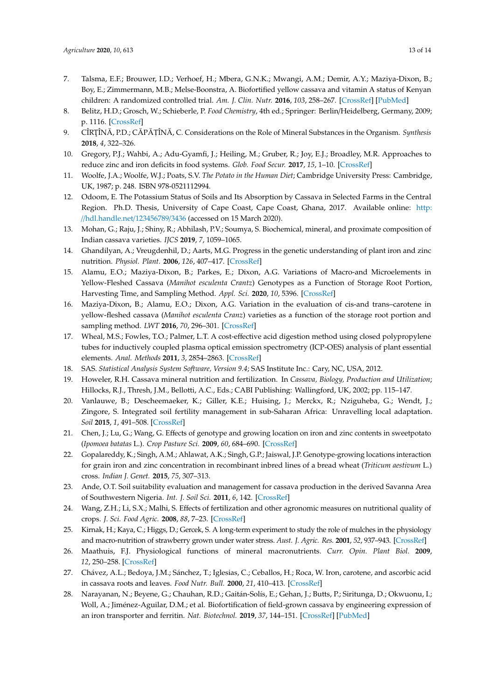- <span id="page-12-0"></span>7. Talsma, E.F.; Brouwer, I.D.; Verhoef, H.; Mbera, G.N.K.; Mwangi, A.M.; Demir, A.Y.; Maziya-Dixon, B.; Boy, E.; Zimmermann, M.B.; Melse-Boonstra, A. Biofortified yellow cassava and vitamin A status of Kenyan children: A randomized controlled trial. *Am. J. Clin. Nutr.* **2016**, *103*, 258–267. [\[CrossRef\]](http://dx.doi.org/10.3945/ajcn.114.100164) [\[PubMed\]](http://www.ncbi.nlm.nih.gov/pubmed/26675768)
- <span id="page-12-1"></span>8. Belitz, H.D.; Grosch, W.; Schieberle, P. *Food Chemistry*, 4th ed.; Springer: Berlin/Heidelberg, Germany, 2009; p. 1116. [\[CrossRef\]](http://dx.doi.org/10.1007/978-3-540-69934-7)
- <span id="page-12-2"></span>9. CÎRȚÎNĂ, P.D.; CĂPĂTÎNĂ, C. Considerations on the Role of Mineral Substances in the Organism. *Synthesis* **2018**, *4*, 322–326.
- <span id="page-12-3"></span>10. Gregory, P.J.; Wahbi, A.; Adu-Gyamfi, J.; Heiling, M.; Gruber, R.; Joy, E.J.; Broadley, M.R. Approaches to reduce zinc and iron deficits in food systems. *Glob. Food Secur.* **2017**, *15*, 1–10. [\[CrossRef\]](http://dx.doi.org/10.1016/j.gfs.2017.03.003)
- <span id="page-12-4"></span>11. Woolfe, J.A.; Woolfe, W.J.; Poats, S.V. *The Potato in the Human Diet*; Cambridge University Press: Cambridge, UK, 1987; p. 248. ISBN 978-0521112994.
- <span id="page-12-5"></span>12. Odoom, E. The Potassium Status of Soils and Its Absorption by Cassava in Selected Farms in the Central Region. Ph.D. Thesis, University of Cape Coast, Cape Coast, Ghana, 2017. Available online: [http:](http://hdl.handle.net/123456789/3436) //[hdl.handle.net](http://hdl.handle.net/123456789/3436)/123456789/3436 (accessed on 15 March 2020).
- <span id="page-12-6"></span>13. Mohan, G.; Raju, J.; Shiny, R.; Abhilash, P.V.; Soumya, S. Biochemical, mineral, and proximate composition of Indian cassava varieties. *IJCS* **2019**, *7*, 1059–1065.
- <span id="page-12-7"></span>14. Ghandilyan, A.; Vreugdenhil, D.; Aarts, M.G. Progress in the genetic understanding of plant iron and zinc nutrition. *Physiol. Plant.* **2006**, *126*, 407–417. [\[CrossRef\]](http://dx.doi.org/10.1111/j.1399-3054.2006.00646.x)
- <span id="page-12-8"></span>15. Alamu, E.O.; Maziya-Dixon, B.; Parkes, E.; Dixon, A.G. Variations of Macro-and Microelements in Yellow-Fleshed Cassava (*Manihot esculenta Crantz*) Genotypes as a Function of Storage Root Portion, Harvesting Time, and Sampling Method. *Appl. Sci.* **2020**, *10*, 5396. [\[CrossRef\]](http://dx.doi.org/10.3390/app10165396)
- <span id="page-12-9"></span>16. Maziya-Dixon, B.; Alamu, E.O.; Dixon, A.G. Variation in the evaluation of cis-and trans–carotene in yellow-fleshed cassava (*Manihot esculenta Cranz*) varieties as a function of the storage root portion and sampling method. *LWT* **2016**, *70*, 296–301. [\[CrossRef\]](http://dx.doi.org/10.1016/j.lwt.2016.03.002)
- <span id="page-12-10"></span>17. Wheal, M.S.; Fowles, T.O.; Palmer, L.T. A cost-effective acid digestion method using closed polypropylene tubes for inductively coupled plasma optical emission spectrometry (ICP-OES) analysis of plant essential elements. *Anal. Methods* **2011**, *3*, 2854–2863. [\[CrossRef\]](http://dx.doi.org/10.1039/c1ay05430a)
- <span id="page-12-11"></span>18. SAS. *Statistical Analysis System Software, Version 9.4*; SAS Institute Inc.: Cary, NC, USA, 2012.
- <span id="page-12-12"></span>19. Howeler, R.H. Cassava mineral nutrition and fertilization. In *Cassava, Biology, Production and Utilization*; Hillocks, R.J., Thresh, J.M., Bellotti, A.C., Eds.; CABI Publishing: Wallingford, UK, 2002; pp. 115–147.
- <span id="page-12-13"></span>20. Vanlauwe, B.; Descheemaeker, K.; Giller, K.E.; Huising, J.; Merckx, R.; Nziguheba, G.; Wendt, J.; Zingore, S. Integrated soil fertility management in sub-Saharan Africa: Unravelling local adaptation. *Soil* **2015**, *1*, 491–508. [\[CrossRef\]](http://dx.doi.org/10.5194/soil-1-491-2015)
- <span id="page-12-14"></span>21. Chen, J.; Lu, G.; Wang, G. Effects of genotype and growing location on iron and zinc contents in sweetpotato (*Ipomoea batatas* L.). *Crop Pasture Sci.* **2009**, *60*, 684–690. [\[CrossRef\]](http://dx.doi.org/10.1071/CP08291)
- <span id="page-12-15"></span>22. Gopalareddy, K.; Singh, A.M.; Ahlawat, A.K.; Singh, G.P.; Jaiswal, J.P. Genotype-growing locations interaction for grain iron and zinc concentration in recombinant inbred lines of a bread wheat (*Triticum aestivum* L.) cross. *Indian J. Genet.* **2015**, *75*, 307–313.
- <span id="page-12-16"></span>23. Ande, O.T. Soil suitability evaluation and management for cassava production in the derived Savanna Area of Southwestern Nigeria. *Int. J. Soil Sci.* **2011**, *6*, 142. [\[CrossRef\]](http://dx.doi.org/10.3923/ijss.2011.142.149)
- <span id="page-12-17"></span>24. Wang, Z.H.; Li, S.X.; Malhi, S. Effects of fertilization and other agronomic measures on nutritional quality of crops. *J. Sci. Food Agric.* **2008**, *88*, 7–23. [\[CrossRef\]](http://dx.doi.org/10.1002/jsfa.3084)
- <span id="page-12-18"></span>25. Kirnak, H.; Kaya, C.; Higgs, D.; Gercek, S. A long-term experiment to study the role of mulches in the physiology and macro-nutrition of strawberry grown under water stress. *Aust. J. Agric. Res.* **2001**, *52*, 937–943. [\[CrossRef\]](http://dx.doi.org/10.1071/AR01014)
- <span id="page-12-19"></span>26. Maathuis, F.J. Physiological functions of mineral macronutrients. *Curr. Opin. Plant Biol.* **2009**, *12*, 250–258. [\[CrossRef\]](http://dx.doi.org/10.1016/j.pbi.2009.04.003)
- <span id="page-12-20"></span>27. Chávez, A.L.; Bedoya, J.M.; Sánchez, T.; Iglesias, C.; Ceballos, H.; Roca, W. Iron, carotene, and ascorbic acid in cassava roots and leaves. *Food Nutr. Bull.* **2000**, *21*, 410–413. [\[CrossRef\]](http://dx.doi.org/10.1177/156482650002100413)
- <span id="page-12-21"></span>28. Narayanan, N.; Beyene, G.; Chauhan, R.D.; Gaitán-Solís, E.; Gehan, J.; Butts, P.; Siritunga, D.; Okwuonu, I.; Woll, A.; Jiménez-Aguilar, D.M.; et al. Biofortification of field-grown cassava by engineering expression of an iron transporter and ferritin. *Nat. Biotechnol.* **2019**, *37*, 144–151. [\[CrossRef\]](http://dx.doi.org/10.1038/s41587-018-0002-1) [\[PubMed\]](http://www.ncbi.nlm.nih.gov/pubmed/30692693)